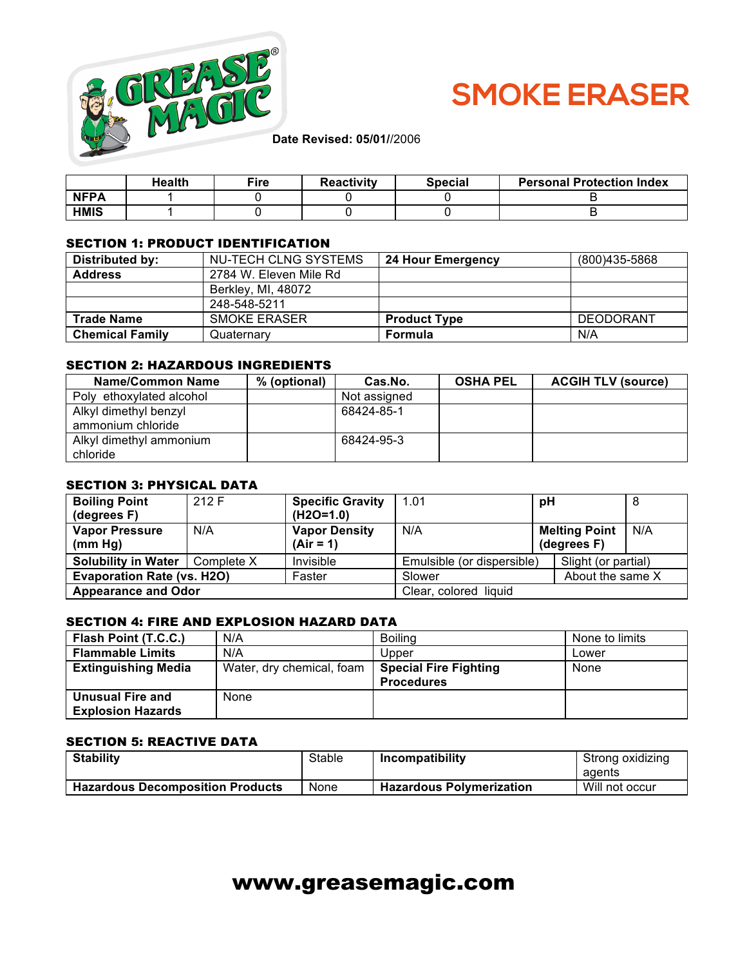

# **SMOKE ERASER**

|             | <b>Health</b> | $\mathsf{e}$ ire | <b>Reactivity</b> | <b>Special</b> | <b>Personal Protection Index</b> |
|-------------|---------------|------------------|-------------------|----------------|----------------------------------|
| <b>NFPA</b> |               |                  |                   |                |                                  |
| <b>HMIS</b> |               |                  |                   |                |                                  |

#### SECTION 1: PRODUCT IDENTIFICATION

| Distributed by:        | NU-TECH CLNG SYSTEMS   | 24 Hour Emergency   | (800)435-5868    |
|------------------------|------------------------|---------------------|------------------|
| <b>Address</b>         | 2784 W. Eleven Mile Rd |                     |                  |
|                        | Berkley, MI, 48072     |                     |                  |
|                        | 248-548-5211           |                     |                  |
| <b>Trade Name</b>      | <b>SMOKE ERASER</b>    | <b>Product Type</b> | <b>DEODORANT</b> |
| <b>Chemical Family</b> | Quaternary             | Formula             | N/A              |

#### SECTION 2: HAZARDOUS INGREDIENTS

| <b>Name/Common Name</b>                    | % (optional) | Cas.No.      | <b>OSHA PEL</b> | <b>ACGIH TLV (source)</b> |
|--------------------------------------------|--------------|--------------|-----------------|---------------------------|
| Poly ethoxylated alcohol                   |              | Not assigned |                 |                           |
| Alkyl dimethyl benzyl<br>ammonium chloride |              | 68424-85-1   |                 |                           |
| Alkyl dimethyl ammonium<br>chloride        |              | 68424-95-3   |                 |                           |

#### SECTION 3: PHYSICAL DATA

| <b>Boiling Point</b><br>(degrees F)     | 212 F | <b>Specific Gravity</b><br>$(H2O=1.0)$ | 1.01                       | рH                                  | 8   |
|-----------------------------------------|-------|----------------------------------------|----------------------------|-------------------------------------|-----|
| <b>Vapor Pressure</b><br>(mm Hg)        | N/A   | <b>Vapor Density</b><br>$(Air = 1)$    | N/A                        | <b>Melting Point</b><br>(degrees F) | N/A |
| <b>Solubility in Water</b>   Complete X |       | Invisible                              | Emulsible (or dispersible) | Slight (or partial)                 |     |
| <b>Evaporation Rate (vs. H2O)</b>       |       | Faster                                 | Slower<br>About the same X |                                     |     |
| <b>Appearance and Odor</b>              |       | Clear, colored liquid                  |                            |                                     |     |

### SECTION 4: FIRE AND EXPLOSION HAZARD DATA

| Flash Point (T.C.C.)       | N/A                       | <b>Boiling</b>               | None to limits |
|----------------------------|---------------------------|------------------------------|----------------|
| <b>Flammable Limits</b>    | N/A                       | Upper                        | Lower          |
| <b>Extinguishing Media</b> | Water, dry chemical, foam | <b>Special Fire Fighting</b> | None           |
|                            |                           | <b>Procedures</b>            |                |
| <b>Unusual Fire and</b>    | None                      |                              |                |
| <b>Explosion Hazards</b>   |                           |                              |                |

#### SECTION 5: REACTIVE DATA

| <b>Stability</b>                        | Stable | Incompatibility                 | Strong oxidizing |
|-----------------------------------------|--------|---------------------------------|------------------|
|                                         |        |                                 | agents           |
| <b>Hazardous Decomposition Products</b> | None   | <b>Hazardous Polymerization</b> | Will not occur   |

# www.greasemagic.com